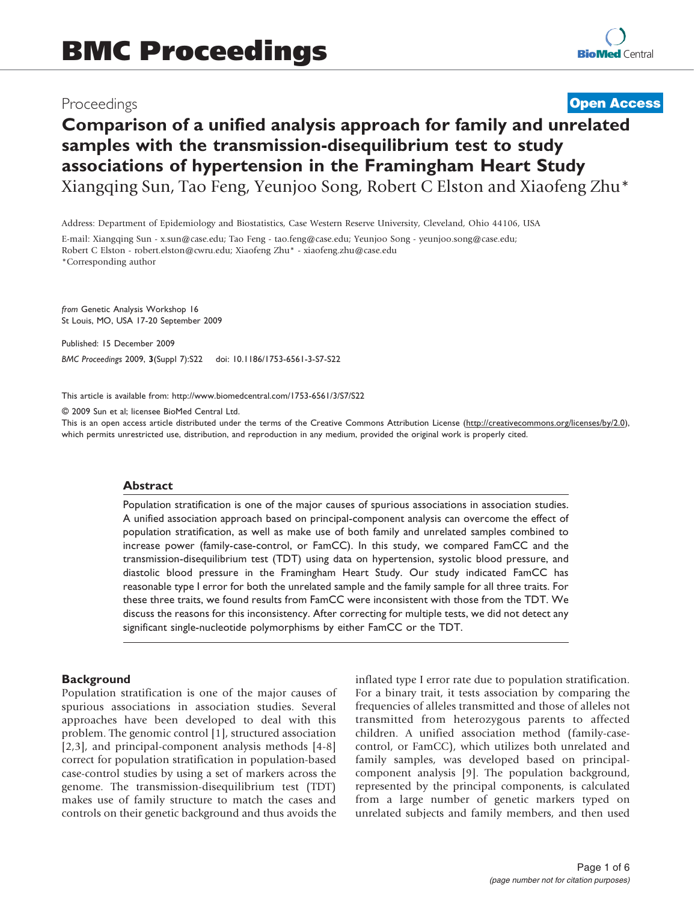## Proceedings

## **[Open Access](http://www.biomedcentral.com/info/about/charter/)**

# Comparison of a unified analysis approach for family and unrelated samples with the transmission-disequilibrium test to study associations of hypertension in the Framingham Heart Study Xiangqing Sun, Tao Feng, Yeunjoo Song, Robert C Elston and Xiaofeng Zhu\*

Address: Department of Epidemiology and Biostatistics, Case Western Reserve University, Cleveland, Ohio 44106, USA

E-mail: Xiangqing Sun - [x.sun@case.edu;](mailto:x.sun@case.edu) Tao Feng - [tao.feng@case.edu](mailto:tao.feng@case.edu); Yeunjoo Song - [yeunjoo.song@case.edu](mailto:yeunjoo.song@case.edu); Robert C Elston - [robert.elston@cwru.edu](mailto:robert.elston@cwru.edu); Xiaofeng Zhu\* - [xiaofeng.zhu@case.edu](mailto:xiaofeng.zhu@case.edu) \*Corresponding author

from Genetic Analysis Workshop 16 St Louis, MO, USA 17-20 September 2009

Published: 15 December 2009 BMC Proceedings 2009, 3(Suppl 7):S22 doi: 10.1186/1753-6561-3-S7-S22

This article is available from: http://www.biomedcentral.com/1753-6561/3/S7/S22

© 2009 Sun et al; licensee BioMed Central Ltd.

This is an open access article distributed under the terms of the Creative Commons Attribution License [\(http://creativecommons.org/licenses/by/2.0\)](http://creativecommons.org/licenses/by/2.0), which permits unrestricted use, distribution, and reproduction in any medium, provided the original work is properly cited.

#### Abstract

Population stratification is one of the major causes of spurious associations in association studies. A unified association approach based on principal-component analysis can overcome the effect of population stratification, as well as make use of both family and unrelated samples combined to increase power (family-case-control, or FamCC). In this study, we compared FamCC and the transmission-disequilibrium test (TDT) using data on hypertension, systolic blood pressure, and diastolic blood pressure in the Framingham Heart Study. Our study indicated FamCC has reasonable type I error for both the unrelated sample and the family sample for all three traits. For these three traits, we found results from FamCC were inconsistent with those from the TDT. We discuss the reasons for this inconsistency. After correcting for multiple tests, we did not detect any significant single-nucleotide polymorphisms by either FamCC or the TDT.

## **Background**

Population stratification is one of the major causes of spurious associations in association studies. Several approaches have been developed to deal with this problem. The genomic control [[1\]](#page-5-0), structured association [[2](#page-5-0),[3](#page-5-0)], and principal-component analysis methods [[4-8\]](#page-5-0) correct for population stratification in population-based case-control studies by using a set of markers across the genome. The transmission-disequilibrium test (TDT) makes use of family structure to match the cases and controls on their genetic background and thus avoids the inflated type I error rate due to population stratification. For a binary trait, it tests association by comparing the frequencies of alleles transmitted and those of alleles not transmitted from heterozygous parents to affected children. A unified association method (family-casecontrol, or FamCC), which utilizes both unrelated and family samples, was developed based on principalcomponent analysis [[9](#page-5-0)]. The population background, represented by the principal components, is calculated from a large number of genetic markers typed on unrelated subjects and family members, and then used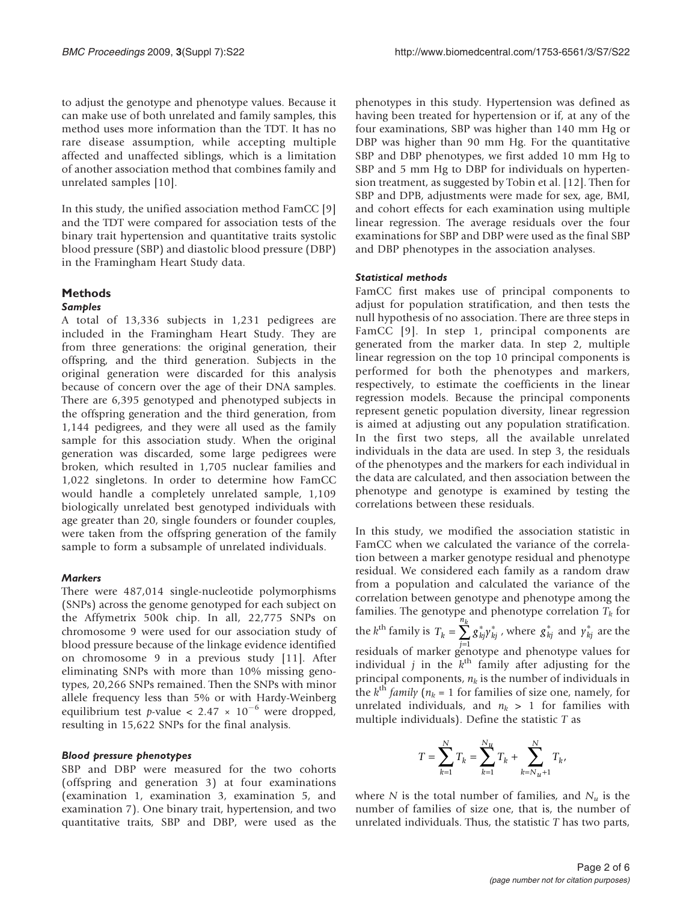to adjust the genotype and phenotype values. Because it can make use of both unrelated and family samples, this method uses more information than the TDT. It has no rare disease assumption, while accepting multiple affected and unaffected siblings, which is a limitation of another association method that combines family and unrelated samples [[10\]](#page-5-0).

In this study, the unified association method FamCC [\[9\]](#page-5-0) and the TDT were compared for association tests of the binary trait hypertension and quantitative traits systolic blood pressure (SBP) and diastolic blood pressure (DBP) in the Framingham Heart Study data.

#### Methods

## Samples

A total of 13,336 subjects in 1,231 pedigrees are included in the Framingham Heart Study. They are from three generations: the original generation, their offspring, and the third generation. Subjects in the original generation were discarded for this analysis because of concern over the age of their DNA samples. There are 6,395 genotyped and phenotyped subjects in the offspring generation and the third generation, from 1,144 pedigrees, and they were all used as the family sample for this association study. When the original generation was discarded, some large pedigrees were broken, which resulted in 1,705 nuclear families and 1,022 singletons. In order to determine how FamCC would handle a completely unrelated sample, 1,109 biologically unrelated best genotyped individuals with age greater than 20, single founders or founder couples, were taken from the offspring generation of the family sample to form a subsample of unrelated individuals.

#### **Markers**

There were 487,014 single-nucleotide polymorphisms (SNPs) across the genome genotyped for each subject on the Affymetrix 500k chip. In all, 22,775 SNPs on chromosome 9 were used for our association study of blood pressure because of the linkage evidence identified on chromosome 9 in a previous study [[11](#page-5-0)]. After eliminating SNPs with more than 10% missing genotypes, 20,266 SNPs remained. Then the SNPs with minor allele frequency less than 5% or with Hardy-Weinberg equilibrium test p-value <  $2.47 \times 10^{-6}$  were dropped, resulting in 15,622 SNPs for the final analysis.

#### Blood pressure phenotypes

SBP and DBP were measured for the two cohorts (offspring and generation 3) at four examinations (examination 1, examination 3, examination 5, and examination 7). One binary trait, hypertension, and two quantitative traits, SBP and DBP, were used as the

phenotypes in this study. Hypertension was defined as having been treated for hypertension or if, at any of the four examinations, SBP was higher than 140 mm Hg or DBP was higher than 90 mm Hg. For the quantitative SBP and DBP phenotypes, we first added 10 mm Hg to SBP and 5 mm Hg to DBP for individuals on hypertension treatment, as suggested by Tobin et al. [\[12](#page-5-0)]. Then for SBP and DPB, adjustments were made for sex, age, BMI, and cohort effects for each examination using multiple linear regression. The average residuals over the four examinations for SBP and DBP were used as the final SBP and DBP phenotypes in the association analyses.

#### Statistical methods

FamCC first makes use of principal components to adjust for population stratification, and then tests the null hypothesis of no association. There are three steps in FamCC [[9](#page-5-0)]. In step 1, principal components are generated from the marker data. In step 2, multiple linear regression on the top 10 principal components is performed for both the phenotypes and markers, respectively, to estimate the coefficients in the linear regression models. Because the principal components represent genetic population diversity, linear regression is aimed at adjusting out any population stratification. In the first two steps, all the available unrelated individuals in the data are used. In step 3, the residuals of the phenotypes and the markers for each individual in the data are calculated, and then association between the phenotype and genotype is examined by testing the correlations between these residuals.

In this study, we modified the association statistic in FamCC when we calculated the variance of the correlation between a marker genotype residual and phenotype residual. We considered each family as a random draw from a population and calculated the variance of the correlation between genotype and phenotype among the families. The genotype and phenotype correlation  $T_k$  for the *k*<sup>th</sup> family is  $T_k = \sum_{k=1}^{n_k} g_{kj}^* \gamma_{kj}^*$ , where  $g_{kj}^*$  and  $\gamma_{kj}^*$  are the *j* = 1 residuals of marker genotype and phenotype values for individual j in the  $k<sup>th</sup>$  family after adjusting for the principal components,  $n_k$  is the number of individuals in the  $k^{\text{th}}$  family ( $n_k$  = 1 for families of size one, namely, for unrelated individuals, and  $n_k > 1$  for families with multiple individuals). Define the statistic  $T$  as

$$
T = \sum_{k=1}^{N} T_k = \sum_{k=1}^{N_u} T_k + \sum_{k=N_u+1}^{N} T_k,
$$

where N is the total number of families, and  $N_u$  is the number of families of size one, that is, the number of unrelated individuals. Thus, the statistic  $T$  has two parts,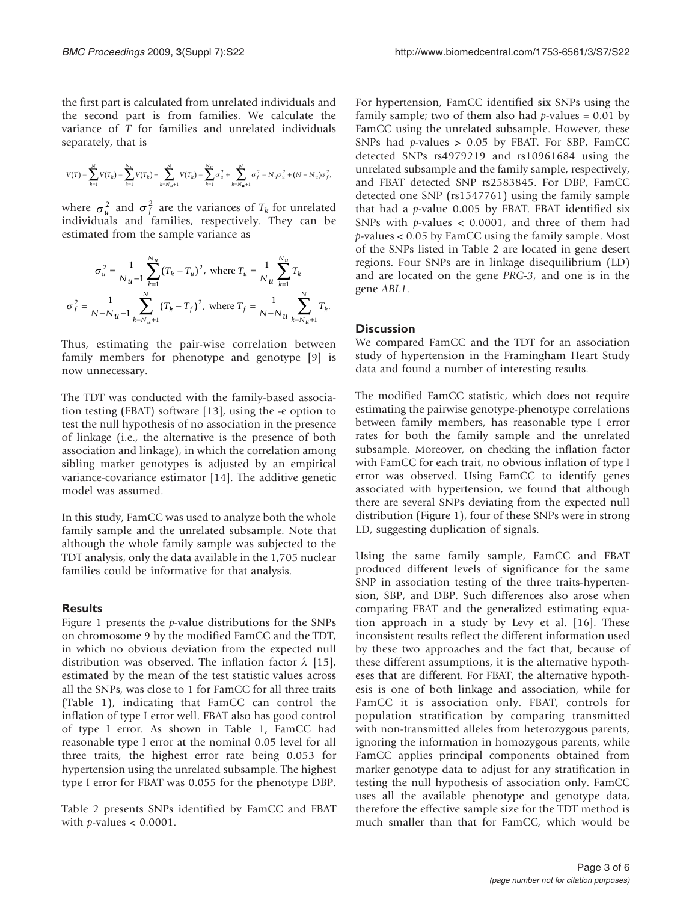the first part is calculated from unrelated individuals and the second part is from families. We calculate the variance of T for families and unrelated individuals separately, that is

$$
V(T) = \sum_{k=1}^N V(T_k) = \sum_{k=1}^{N_u} V(T_k) + \sum_{k=N_u+1}^N V(T_k) = \sum_{k=1}^{N_u} \sigma_u^2 + \sum_{k=N_u+1}^N \sigma_f^2 = N_u \sigma_u^2 + \big(N - N_u\big) \sigma_f^2,
$$

where  $\sigma_u^2$  and  $\sigma_f^2$  are the variances of  $T_k$  for unrelated individuals and families, respectively. They can be estimated from the sample variance as

$$
\sigma_u^2 = \frac{1}{N_u - 1} \sum_{k=1}^{N_u} (T_k - \overline{T}_u)^2, \text{ where } \overline{T}_u = \frac{1}{N_u} \sum_{k=1}^{N_u} T_k
$$

$$
\sigma_f^2 = \frac{1}{N - N_u - 1} \sum_{k=N_u + 1}^{N} (T_k - \overline{T}_f)^2, \text{ where } \overline{T}_f = \frac{1}{N - N_u} \sum_{k=N_u + 1}^{N} T_k.
$$

Thus, estimating the pair-wise correlation between family members for phenotype and genotype [\[9](#page-5-0)] is now unnecessary.

The TDT was conducted with the family-based association testing (FBAT) software [\[13](#page-5-0)], using the -e option to test the null hypothesis of no association in the presence of linkage (i.e., the alternative is the presence of both association and linkage), in which the correlation among sibling marker genotypes is adjusted by an empirical variance-covariance estimator [[14\]](#page-5-0). The additive genetic model was assumed.

In this study, FamCC was used to analyze both the whole family sample and the unrelated subsample. Note that although the whole family sample was subjected to the TDT analysis, only the data available in the 1,705 nuclear families could be informative for that analysis.

## **Results**

[Figure 1](#page-3-0) presents the  $p$ -value distributions for the SNPs on chromosome 9 by the modified FamCC and the TDT, in which no obvious deviation from the expected null distribution was observed. The inflation factor  $\lambda$  [\[15](#page-5-0)], estimated by the mean of the test statistic values across all the SNPs, was close to 1 for FamCC for all three traits [\(Table 1](#page-4-0)), indicating that FamCC can control the inflation of type I error well. FBAT also has good control of type I error. As shown in [Table 1](#page-4-0), FamCC had reasonable type I error at the nominal 0.05 level for all three traits, the highest error rate being 0.053 for hypertension using the unrelated subsample. The highest type I error for FBAT was 0.055 for the phenotype DBP.

[Table 2](#page-4-0) presents SNPs identified by FamCC and FBAT with *p*-values  $< 0.0001$ .

For hypertension, FamCC identified six SNPs using the family sample; two of them also had  $p$ -values = 0.01 by FamCC using the unrelated subsample. However, these SNPs had  $p$ -values > 0.05 by FBAT. For SBP, FamCC detected SNPs rs4979219 and rs10961684 using the unrelated subsample and the family sample, respectively, and FBAT detected SNP rs2583845. For DBP, FamCC detected one SNP (rs1547761) using the family sample that had a  $p$ -value 0.005 by FBAT. FBAT identified six SNPs with  $p$ -values < 0.0001, and three of them had p-values < 0.05 by FamCC using the family sample. Most of the SNPs listed in [Table 2](#page-4-0) are located in gene desert regions. Four SNPs are in linkage disequilibrium (LD) and are located on the gene PRG-3, and one is in the gene ABL1.

#### **Discussion**

We compared FamCC and the TDT for an association study of hypertension in the Framingham Heart Study data and found a number of interesting results.

The modified FamCC statistic, which does not require estimating the pairwise genotype-phenotype correlations between family members, has reasonable type I error rates for both the family sample and the unrelated subsample. Moreover, on checking the inflation factor with FamCC for each trait, no obvious inflation of type I error was observed. Using FamCC to identify genes associated with hypertension, we found that although there are several SNPs deviating from the expected null distribution [\(Figure 1\)](#page-3-0), four of these SNPs were in strong LD, suggesting duplication of signals.

Using the same family sample, FamCC and FBAT produced different levels of significance for the same SNP in association testing of the three traits-hypertension, SBP, and DBP. Such differences also arose when comparing FBAT and the generalized estimating equation approach in a study by Levy et al. [[16\]](#page-5-0). These inconsistent results reflect the different information used by these two approaches and the fact that, because of these different assumptions, it is the alternative hypotheses that are different. For FBAT, the alternative hypothesis is one of both linkage and association, while for FamCC it is association only. FBAT, controls for population stratification by comparing transmitted with non-transmitted alleles from heterozygous parents, ignoring the information in homozygous parents, while FamCC applies principal components obtained from marker genotype data to adjust for any stratification in testing the null hypothesis of association only. FamCC uses all the available phenotype and genotype data, therefore the effective sample size for the TDT method is much smaller than that for FamCC, which would be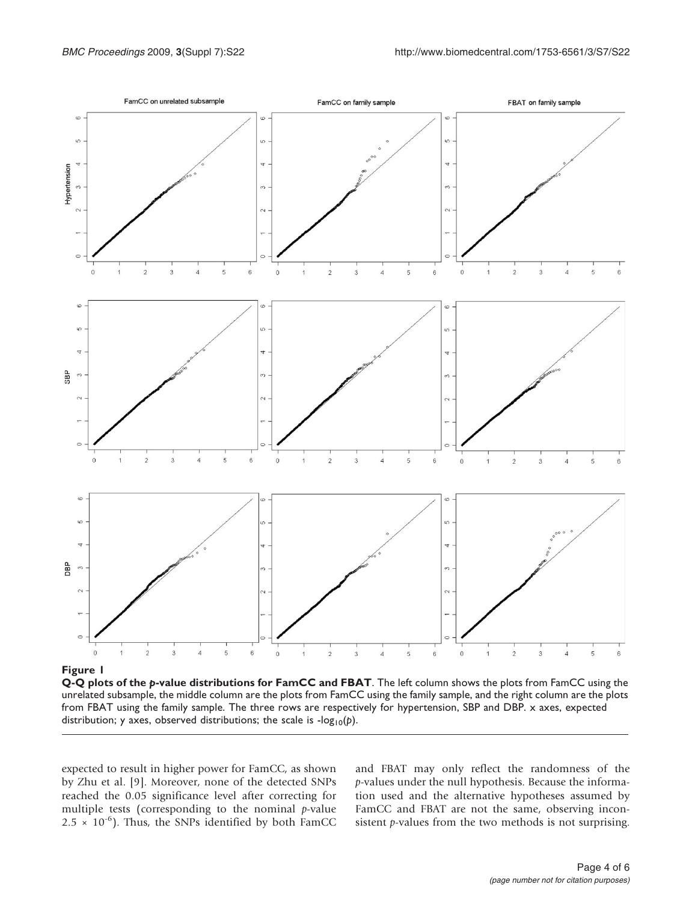<span id="page-3-0"></span>

Figure 1

Q-Q plots of the p-value distributions for FamCC and FBAT. The left column shows the plots from FamCC using the unrelated subsample, the middle column are the plots from FamCC using the family sample, and the right column are the plots from FBAT using the family sample. The three rows are respectively for hypertension, SBP and DBP. x axes, expected distribution; y axes, observed distributions; the scale is  $-log_{10}(p)$ .

expected to result in higher power for FamCC, as shown by Zhu et al. [[9](#page-5-0)]. Moreover, none of the detected SNPs reached the 0.05 significance level after correcting for multiple tests (corresponding to the nominal  $p$ -value  $2.5 \times 10^{-6}$ ). Thus, the SNPs identified by both FamCC and FBAT may only reflect the randomness of the p-values under the null hypothesis. Because the information used and the alternative hypotheses assumed by FamCC and FBAT are not the same, observing inconsistent *p*-values from the two methods is not surprising.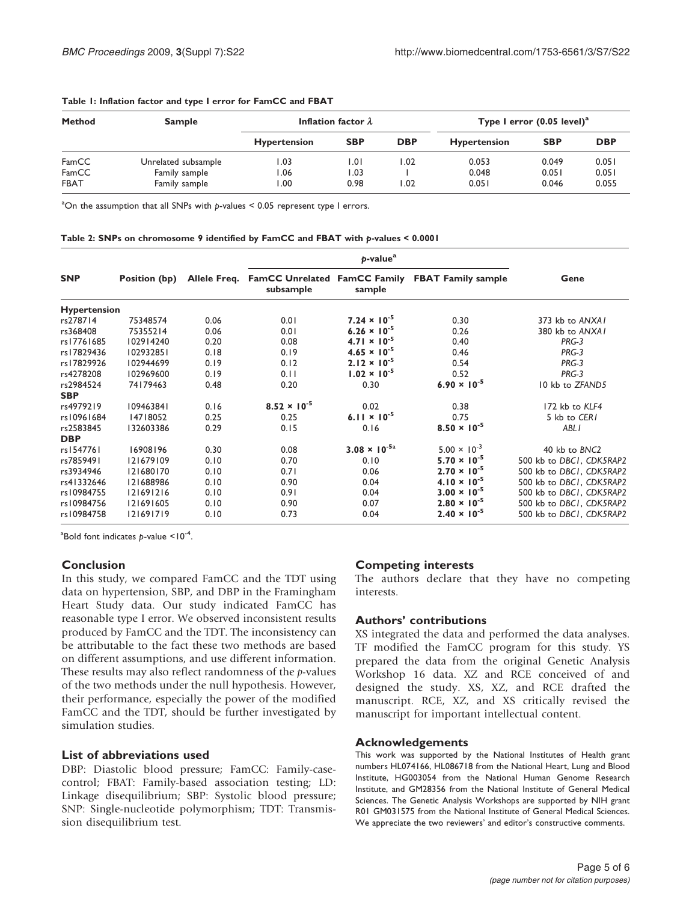| <b>Method</b> | <b>Sample</b>       | Inflation factor $\lambda$ |            |            | Type I error $(0.05$ level) <sup>a</sup> |            |            |
|---------------|---------------------|----------------------------|------------|------------|------------------------------------------|------------|------------|
|               |                     | <b>Hypertension</b>        | <b>SBP</b> | <b>DBP</b> | <b>Hypertension</b>                      | <b>SBP</b> | <b>DBP</b> |
| FamCC         | Unrelated subsample | I.O3                       | 1.01       | .02        | 0.053                                    | 0.049      | 0.051      |
| FamCC         | Family sample       | 06. ا                      | 1.03       |            | 0.048                                    | 0.051      | 0.051      |
| <b>FBAT</b>   | Family sample       | 00. ا                      | 0.98       | .02        | 0.051                                    | 0.046      | 0.055      |

#### <span id="page-4-0"></span>Table 1: Inflation factor and type I error for FamCC and FBAT

 $^{\text{a}}$ On the assumption that all SNPs with p-values < 0.05 represent type I errors.

#### Table 2: SNPs on chromosome 9 identified by FamCC and FBAT with p-values < 0.0001

| <b>SNP</b>          | Position (bp) |      | Allele Freq. FamCC Unrelated FamCC Family<br>subsample | sample                         | <b>FBAT Family sample</b> | Gene                     |  |
|---------------------|---------------|------|--------------------------------------------------------|--------------------------------|---------------------------|--------------------------|--|
| <b>Hypertension</b> |               |      |                                                        |                                |                           |                          |  |
| rs278714            | 75348574      | 0.06 | 0.01                                                   | $7.24 \times 10^{-5}$          | 0.30                      | 373 kb to ANXAI          |  |
| rs368408            | 75355214      | 0.06 | 0.01                                                   | $6.26 \times 10^{-5}$          | 0.26                      | 380 kb to ANXAI          |  |
| rs17761685          | 102914240     | 0.20 | 0.08                                                   | $4.71 \times 10^{-5}$          | 0.40                      | PRG-3                    |  |
| rs17829436          | 102932851     | 0.18 | 0.19                                                   | $4.65 \times 10^{-5}$          | 0.46                      | PRG-3                    |  |
| rs17829926          | 102944699     | 0.19 | 0.12                                                   | $2.12 \times 10^{-5}$          | 0.54                      | PRG-3                    |  |
| rs4278208           | 102969600     | 0.19 | 0.11                                                   | $1.02 \times 10^{-5}$          | 0.52                      | PRG-3                    |  |
| rs2984524           | 74179463      | 0.48 | 0.20                                                   | 0.30                           | $6.90 \times 10^{-5}$     | 10 kb to ZFAND5          |  |
| <b>SBP</b>          |               |      |                                                        |                                |                           |                          |  |
| rs4979219           | 109463841     | 0.16 | $8.52 \times 10^{-5}$                                  | 0.02                           | 0.38                      | 172 kb to KLF4           |  |
| rs10961684          | 14718052      | 0.25 | 0.25                                                   | 6.11 $\times$ 10 <sup>-5</sup> | 0.75                      | 5 kb to CERI             |  |
| rs2583845           | 132603386     | 0.29 | 0.15                                                   | 0.16                           | $8.50 \times 10^{-5}$     | ABL I                    |  |
| <b>DBP</b>          |               |      |                                                        |                                |                           |                          |  |
| rs1547761           | 16908196      | 0.30 | 0.08                                                   | $3.08 \times 10^{-5a}$         | $5.00 \times 10^{-3}$     | 40 kb to BNC2            |  |
| rs7859491           | 121679109     | 0.10 | 0.70                                                   | 0.10                           | $5.70 \times 10^{-5}$     | 500 kb to DBCI, CDK5RAP2 |  |
| rs3934946           | 121680170     | 0.10 | 0.71                                                   | 0.06                           | $2.70 \times 10^{-5}$     | 500 kb to DBCI, CDK5RAP2 |  |
| rs41332646          | 121688986     | 0.10 | 0.90                                                   | 0.04                           | $4.10 \times 10^{-5}$     | 500 kb to DBCI, CDK5RAP2 |  |
| rs10984755          | 121691216     | 0.10 | 0.91                                                   | 0.04                           | $3.00 \times 10^{-5}$     | 500 kb to DBCI, CDK5RAP2 |  |
| rs10984756          | 121691605     | 0.10 | 0.90                                                   | 0.07                           | $2.80 \times 10^{-5}$     | 500 kb to DBCI, CDK5RAP2 |  |
| rs10984758          | 121691719     | 0.10 | 0.73                                                   | 0.04                           | $2.40 \times 10^{-5}$     | 500 kb to DBCI, CDK5RAP2 |  |

 $^{\circ}$ Bold font indicates p-value  $<$ 10<sup>-4</sup>.

## Conclusion

In this study, we compared FamCC and the TDT using data on hypertension, SBP, and DBP in the Framingham Heart Study data. Our study indicated FamCC has reasonable type I error. We observed inconsistent results produced by FamCC and the TDT. The inconsistency can be attributable to the fact these two methods are based on different assumptions, and use different information. These results may also reflect randomness of the  $p$ -values of the two methods under the null hypothesis. However, their performance, especially the power of the modified FamCC and the TDT, should be further investigated by simulation studies.

## List of abbreviations used

DBP: Diastolic blood pressure; FamCC: Family-casecontrol; FBAT: Family-based association testing; LD: Linkage disequilibrium; SBP: Systolic blood pressure; SNP: Single-nucleotide polymorphism; TDT: Transmission disequilibrium test.

## Competing interests

The authors declare that they have no competing interests.

## Authors' contributions

XS integrated the data and performed the data analyses. TF modified the FamCC program for this study. YS prepared the data from the original Genetic Analysis Workshop 16 data. XZ and RCE conceived of and designed the study. XS, XZ, and RCE drafted the manuscript. RCE, XZ, and XS critically revised the manuscript for important intellectual content.

## Acknowledgements

This work was supported by the National Institutes of Health grant numbers HL074166, HL086718 from the National Heart, Lung and Blood Institute, HG003054 from the National Human Genome Research Institute, and GM28356 from the National Institute of General Medical Sciences. The Genetic Analysis Workshops are supported by NIH grant R01 GM031575 from the National Institute of General Medical Sciences. We appreciate the two reviewers' and editor's constructive comments.